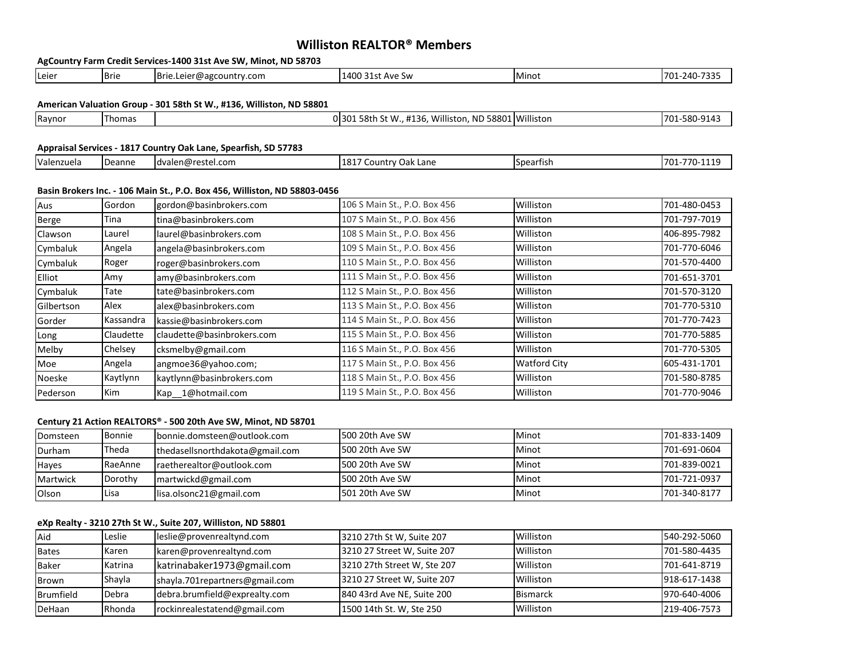# **Williston REALTOR® Members**

|            |             | AgCountry Farm Credit Services-1400 31st Ave SW, Minot, ND 58703          |                                                       |                     |              |
|------------|-------------|---------------------------------------------------------------------------|-------------------------------------------------------|---------------------|--------------|
| Leier      | <b>Brie</b> | Brie.Leier@agcountry.com                                                  | 1400 31st Ave Sw                                      | Minot               | 701-240-7335 |
|            |             |                                                                           |                                                       |                     |              |
|            |             | American Valuation Group - 301 58th St W., #136, Williston, ND 58801      |                                                       |                     |              |
| Raynor     | Thomas      |                                                                           | 0 301 58th St W., #136, Williston, ND 58801 Williston |                     | 701-580-9143 |
|            |             |                                                                           |                                                       |                     |              |
|            |             | Appraisal Services - 1817 Country Oak Lane, Spearfish, SD 57783           |                                                       |                     |              |
| Valenzuela | Deanne      | dvalen@restel.com                                                         | 1817 Country Oak Lane                                 | Spearfish           | 701-770-1119 |
|            |             |                                                                           |                                                       |                     |              |
|            |             | Basin Brokers Inc. - 106 Main St., P.O. Box 456, Williston, ND 58803-0456 |                                                       |                     |              |
| Aus        | Gordon      | gordon@basinbrokers.com                                                   | 106 S Main St., P.O. Box 456                          | Williston           | 701-480-0453 |
| Berge      | Tina        | tina@basinbrokers.com                                                     | 107 S Main St., P.O. Box 456                          | Williston           | 701-797-7019 |
| Clawson    | Laurel      | laurel@basinbrokers.com                                                   | 108 S Main St., P.O. Box 456                          | Williston           | 406-895-7982 |
| Cymbaluk   | Angela      | angela@basinbrokers.com                                                   | 109 S Main St., P.O. Box 456                          | Williston           | 701-770-6046 |
| Cymbaluk   | Roger       | roger@basinbrokers.com                                                    | 110 S Main St., P.O. Box 456                          | Williston           | 701-570-4400 |
| Elliot     | Amy         | amy@basinbrokers.com                                                      | 111 S Main St., P.O. Box 456                          | Williston           | 701-651-3701 |
| Cymbaluk   | Tate        | tate@basinbrokers.com                                                     | 112 S Main St., P.O. Box 456                          | Williston           | 701-570-3120 |
| Gilbertson | Alex        | alex@basinbrokers.com                                                     | 113 S Main St., P.O. Box 456                          | Williston           | 701-770-5310 |
| Gorder     | Kassandra   | kassie@basinbrokers.com                                                   | 114 S Main St., P.O. Box 456                          | Williston           | 701-770-7423 |
| Long       | Claudette   | claudette@basinbrokers.com                                                | 115 S Main St., P.O. Box 456                          | Williston           | 701-770-5885 |
| Melby      | Chelsey     | cksmelby@gmail.com                                                        | 116 S Main St., P.O. Box 456                          | Williston           | 701-770-5305 |
| Moe        | Angela      | angmoe36@yahoo.com;                                                       | 117 S Main St., P.O. Box 456                          | <b>Watford City</b> | 605-431-1701 |
| Noeske     | Kaytlynn    | kaytlynn@basinbrokers.com                                                 | 118 S Main St., P.O. Box 456                          | Williston           | 701-580-8785 |
| Pederson   | Kim         | Kap 1@hotmail.com                                                         | 119 S Main St., P.O. Box 456                          | Williston           | 701-770-9046 |
|            |             |                                                                           |                                                       |                     |              |

# **Century 21 Action REALTORS® - 500 20th Ave SW, Minot, ND 58701**

| Domsteen     | Bonnie  | bonnie.domsteen@outlook.com     | 500 20th Ave SW | <b>Minot</b> | 701-833-1409 |
|--------------|---------|---------------------------------|-----------------|--------------|--------------|
| Durham       | Theda   | thedasellsnorthdakota@gmail.com | 500 20th Ave SW | Minot        | 701-691-0604 |
| <b>Hayes</b> | RaeAnne | raetherealtor@outlook.com       | 500 20th Ave SW | Minot        | 701-839-0021 |
| Martwick     | Dorothy | martwickd@gmail.com             | 500 20th Ave SW | <b>Minot</b> | 701-721-0937 |
| Olson        | lLisa   | lisa.olsonc21@gmail.com         | 501 20th Ave SW | Minot        | 701-340-8177 |

# **eXp Realty - 3210 27th St W., Suite 207, Williston, ND 58801**

| Aid          | Leslie  | leslie@provenrealtynd.com      | 3210 27th St W, Suite 207   | Williston       | 540-292-5060 |
|--------------|---------|--------------------------------|-----------------------------|-----------------|--------------|
| <b>Bates</b> | Karen   | karen@provenrealtynd.com       | 3210 27 Street W, Suite 207 | Williston       | 701-580-4435 |
| <b>Baker</b> | Katrina | katrinabaker1973@gmail.com     | 3210 27th Street W, Ste 207 | Williston       | 701-641-8719 |
| Brown        | Shayla  | shayla.701repartners@gmail.com | 3210 27 Street W, Suite 207 | Williston       | 918-617-1438 |
| Brumfield    | Debra   | debra.brumfield@exprealty.com  | 840 43rd Ave NE, Suite 200  | <b>Bismarck</b> | 970-640-4006 |
| DeHaan       | Rhonda  | rockinrealestatend@gmail.com   | 1500 14th St. W, Ste 250    | Williston       | 219-406-7573 |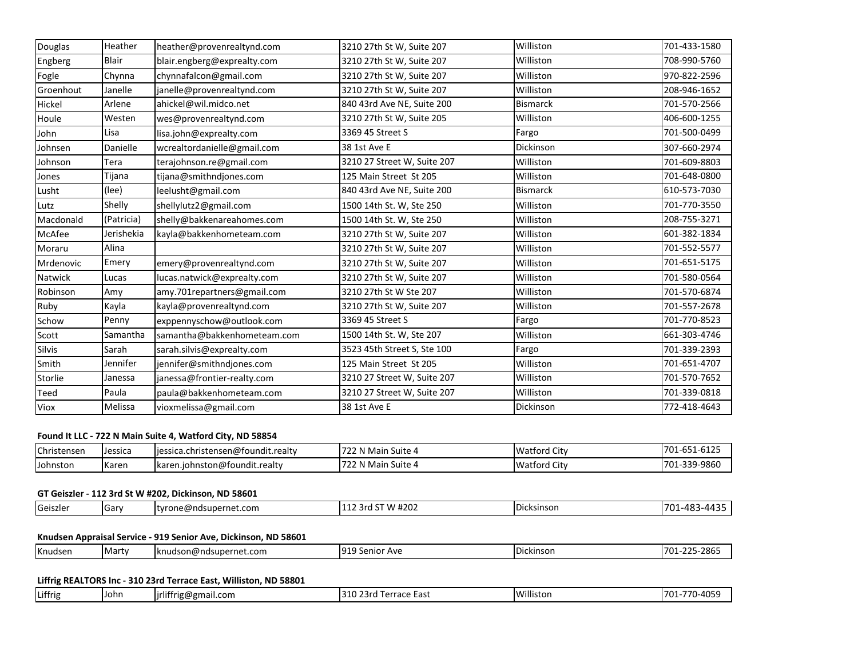| Douglas   | Heather      | heather@provenrealtynd.com  | 3210 27th St W, Suite 207   | Williston       | 701-433-1580 |
|-----------|--------------|-----------------------------|-----------------------------|-----------------|--------------|
| Engberg   | <b>Blair</b> | blair.engberg@exprealty.com | 3210 27th St W, Suite 207   | Williston       | 708-990-5760 |
| Fogle     | Chynna       | chynnafalcon@gmail.com      | 3210 27th St W, Suite 207   | Williston       | 970-822-2596 |
| Groenhout | Janelle      | janelle@provenrealtynd.com  | 3210 27th St W, Suite 207   | Williston       | 208-946-1652 |
| Hickel    | Arlene       | ahickel@wil.midco.net       | 840 43rd Ave NE, Suite 200  | <b>Bismarck</b> | 701-570-2566 |
| Houle     | Westen       | wes@provenrealtynd.com      | 3210 27th St W, Suite 205   | Williston       | 406-600-1255 |
| John      | Lisa         | lisa.john@exprealty.com     | 3369 45 Street S            | Fargo           | 701-500-0499 |
| Johnsen   | Danielle     | wcrealtordanielle@gmail.com | 38 1st Ave E                | Dickinson       | 307-660-2974 |
| Johnson   | Tera         | terajohnson.re@gmail.com    | 3210 27 Street W, Suite 207 | Williston       | 701-609-8803 |
| Jones     | Tijana       | tijana@smithndjones.com     | 125 Main Street St 205      | Williston       | 701-648-0800 |
| Lusht     | (lee)        | leelusht@gmail.com          | 840 43rd Ave NE, Suite 200  | <b>Bismarck</b> | 610-573-7030 |
| Lutz      | Shelly       | shellylutz2@gmail.com       | 1500 14th St. W, Ste 250    | Williston       | 701-770-3550 |
| Macdonald | (Patricia)   | shelly@bakkenareahomes.com  | 1500 14th St. W, Ste 250    | Williston       | 208-755-3271 |
| McAfee    | Jerishekia   | kayla@bakkenhometeam.com    | 3210 27th St W, Suite 207   | Williston       | 601-382-1834 |
| Moraru    | Alina        |                             | 3210 27th St W, Suite 207   | Williston       | 701-552-5577 |
| Mrdenovic | Emery        | emery@provenrealtynd.com    | 3210 27th St W, Suite 207   | Williston       | 701-651-5175 |
| Natwick   | Lucas        | lucas.natwick@exprealty.com | 3210 27th St W, Suite 207   | Williston       | 701-580-0564 |
| Robinson  | Amy          | amy.701repartners@gmail.com | 3210 27th St W Ste 207      | Williston       | 701-570-6874 |
| Ruby      | Kayla        | kayla@provenrealtynd.com    | 3210 27th St W, Suite 207   | Williston       | 701-557-2678 |
| Schow     | Penny        | exppennyschow@outlook.com   | 3369 45 Street S            | Fargo           | 701-770-8523 |
| Scott     | Samantha     | samantha@bakkenhometeam.com | 1500 14th St. W, Ste 207    | Williston       | 661-303-4746 |
| Silvis    | Sarah        | sarah.silvis@exprealty.com  | 3523 45th Street S, Ste 100 | Fargo           | 701-339-2393 |
| Smith     | Jennifer     | jennifer@smithndjones.com   | 125 Main Street St 205      | Williston       | 701-651-4707 |
| Storlie   | Janessa      | janessa@frontier-realty.com | 3210 27 Street W, Suite 207 | Williston       | 701-570-7652 |
| Teed      | Paula        | paula@bakkenhometeam.com    | 3210 27 Street W, Suite 207 | Williston       | 701-339-0818 |
| Viox      | Melissa      | vioxmelissa@gmail.com       | 38 1st Ave E                | Dickinson       | 772-418-4643 |

# **Found It LLC - 722 N Main Suite 4, Watford City, ND 58854**

| Christensen     | Dessica | jessica.christensen@foundit.realty                | $\overline{\phantom{a}}$<br>N Main<br>. Suite ⁄'<br>722 | <b>Watford City</b> | 6125<br>701<br>$-$<br>1-61ZJ<br>701-b.<br><u>vja</u> |
|-----------------|---------|---------------------------------------------------|---------------------------------------------------------|---------------------|------------------------------------------------------|
| <b>Johnston</b> | Karen   | .<br>$\blacksquare$ karen.iohnston@foundit.realty | N Main<br>. Suite 4<br>1 L L                            | <b>Watford City</b> | 701-339-9860<br>$\neg \wedge \neg$                   |

# **GT Geiszler - 112 3rd St W #202, Dickinson, ND 58601**

| $\overline{\phantom{a}}$<br><b>Geiszler</b> | ١Ga<br>≞n n | <b>Ityrone@nds</b><br>dsupernet.com. . | $J$ # $20^{\circ}$<br>۰ ΛΛ.<br>,<br>- .<br>17 Z.VZ<br><u>.</u> | <b>IDicksinsor</b> | .113F<br>$\Lambda$ O<br>. 70<br>.<br>-⊤∪⊶<br>┄ |
|---------------------------------------------|-------------|----------------------------------------|----------------------------------------------------------------|--------------------|------------------------------------------------|
|---------------------------------------------|-------------|----------------------------------------|----------------------------------------------------------------|--------------------|------------------------------------------------|

# **Knudsen Appraisal Service - 919 Senior Ave, Dickinson, ND 58601**

| ີງງກ<br>70 <sub>2</sub><br>01.<br>Knudsen<br>Marty<br>Dickinsor<br><b>Ser</b><br>$\sim$<br>Ave<br>udson@ndsupernet.com \<br>lknu<br>7U-<br>- 25 11 12 1 |  |  |  |  |  | .2025<br>-2003 |
|---------------------------------------------------------------------------------------------------------------------------------------------------------|--|--|--|--|--|----------------|
|---------------------------------------------------------------------------------------------------------------------------------------------------------|--|--|--|--|--|----------------|

# **Liffrig REALTORS Inc - 310 23rd Terrace East, Williston, ND 58801**

| $\cdot$ $\cdot$<br>$\cdots$                      |      |                           |                      |           |                         |
|--------------------------------------------------|------|---------------------------|----------------------|-----------|-------------------------|
| Littrig<br>---<br>ורי<br>. Laut<br>. J Tr<br>. . | Uohn | .com<br>lirlif<br>ាg@gma. | $\mathbf{a}$<br>cast | Willistu. | AC<br>- 70<br>70<br>rv. |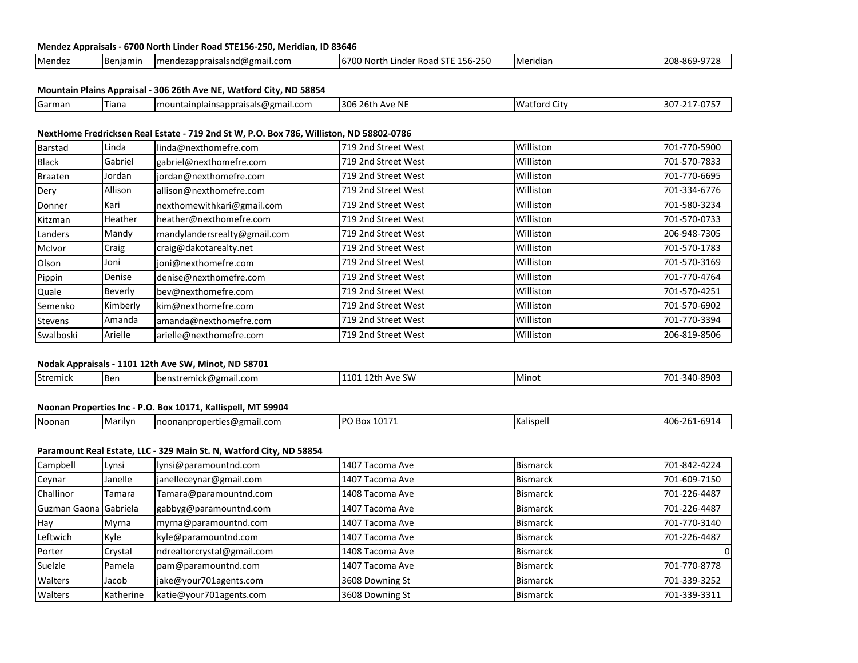### **Mendez Appraisals - 6700 North Linder Road STE156-250, Meridian, ID 83646**

| Mendez | ¶R≙<br>niamir | alsnd@gmail.com<br>umenci<br>⊐nnr<br>סו ב<br>auuraisai.<br>11 L. | <u>ua</u><br>nde<br>ີ<br>-156-<br>31 I<br>ו ח<br>. ROđu<br>-25U<br>$\mathbf{u}$<br>wui | ridiar<br>1 IVIt | oc.<br>סחר |
|--------|---------------|------------------------------------------------------------------|----------------------------------------------------------------------------------------|------------------|------------|

## **Mountain Plains Appraisal - 306 26th Ave NE, Watford City, ND 58854**

|  | Garman | Tiana | )gmail.com<br>ainplainsappraisals@g<br>Imountai | .<br>1306<br>$16 + F$<br>. $\Lambda \overline{\Lambda}$<br>Ave Ni | ÷.<br>Wat<br>. City<br>.ctora : | $\sim$ $\sim$ $\sim$ $\sim$<br>$\mathbf{a} \cdot \mathbf{b}$<br>130<br>. |
|--|--------|-------|-------------------------------------------------|-------------------------------------------------------------------|---------------------------------|--------------------------------------------------------------------------|
|--|--------|-------|-------------------------------------------------|-------------------------------------------------------------------|---------------------------------|--------------------------------------------------------------------------|

## **NextHome Fredricksen Real Estate - 719 2nd St W, P.O. Box 786, Williston, ND 58802-0786**

| Barstad        | Linda    | linda@nexthomefre.com        | 719 2nd Street West | Williston | 701-770-5900 |
|----------------|----------|------------------------------|---------------------|-----------|--------------|
| <b>Black</b>   | Gabriel  | gabriel@nexthomefre.com      | 719 2nd Street West | Williston | 701-570-7833 |
| <b>Braaten</b> | Jordan   | jordan@nexthomefre.com       | 719 2nd Street West | Williston | 701-770-6695 |
| Dery           | Allison  | allison@nexthomefre.com      | 719 2nd Street West | Williston | 701-334-6776 |
| Donner         | Kari     | nexthomewithkari@gmail.com   | 719 2nd Street West | Williston | 701-580-3234 |
| Kitzman        | Heather  | heather@nexthomefre.com      | 719 2nd Street West | Williston | 701-570-0733 |
| Landers        | Mandy    | mandylandersrealty@gmail.com | 719 2nd Street West | Williston | 206-948-7305 |
| McIvor         | Craig    | craig@dakotarealty.net       | 719 2nd Street West | Williston | 701-570-1783 |
| Olson          | Joni     | joni@nexthomefre.com         | 719 2nd Street West | Williston | 701-570-3169 |
| Pippin         | Denise   | denise@nexthomefre.com       | 719 2nd Street West | Williston | 701-770-4764 |
| Quale          | Beverly  | bev@nexthomefre.com          | 719 2nd Street West | Williston | 701-570-4251 |
| Semenko        | Kimberly | kim@nexthomefre.com          | 719 2nd Street West | Williston | 701-570-6902 |
| <b>Stevens</b> | Amanda   | amanda@nexthomefre.com       | 719 2nd Street West | Williston | 701-770-3394 |
| Swalboski      | Arielle  | arielle@nexthomefre.com      | 719 2nd Street West | Williston | 206-819-8506 |
|                |          |                              |                     |           |              |

# **Nodak Appraisals - 1101 12th Ave SW, Minot, ND 58701**

| Stremick<br>. SW<br><b>Ben</b><br>IMino:<br>$\blacksquare$ benstremick@gmail.com<br>. . |
|-----------------------------------------------------------------------------------------|
|-----------------------------------------------------------------------------------------|

# **Noonan Properties Inc - P.O. Box 10171, Kallispell, MT 59904**

### **Paramount Real Estate, LLC - 329 Main St. N, Watford City, ND 58854**

| Campbell              | Lynsi     | lynsi@paramountnd.com      | 1407 Tacoma Ave | <b>Bismarck</b> | 701-842-4224 |
|-----------------------|-----------|----------------------------|-----------------|-----------------|--------------|
| Ceynar                | Janelle   | janelleceynar@gmail.com    | 1407 Tacoma Ave | <b>Bismarck</b> | 701-609-7150 |
| Challinor             | Tamara    | Tamara@paramountnd.com     | 1408 Tacoma Ave | <b>Bismarck</b> | 701-226-4487 |
| Guzman Gaona Gabriela |           | gabbyg@paramountnd.com     | 1407 Tacoma Ave | <b>Bismarck</b> | 701-226-4487 |
| Hay                   | Myrna     | myrna@paramountnd.com      | 1407 Tacoma Ave | <b>Bismarck</b> | 701-770-3140 |
| Leftwich              | Kyle      | kyle@paramountnd.com       | 1407 Tacoma Ave | <b>Bismarck</b> | 701-226-4487 |
| Porter                | Crystal   | ndrealtorcrystal@gmail.com | 1408 Tacoma Ave | <b>Bismarck</b> |              |
| Suelzle               | Pamela    | pam@paramountnd.com        | 1407 Tacoma Ave | <b>Bismarck</b> | 701-770-8778 |
| Walters               | Jacob     | jake@your701agents.com     | 3608 Downing St | <b>Bismarck</b> | 701-339-3252 |
| Walters               | Katherine | katie@your701agents.com    | 3608 Downing St | <b>Bismarck</b> | 701-339-3311 |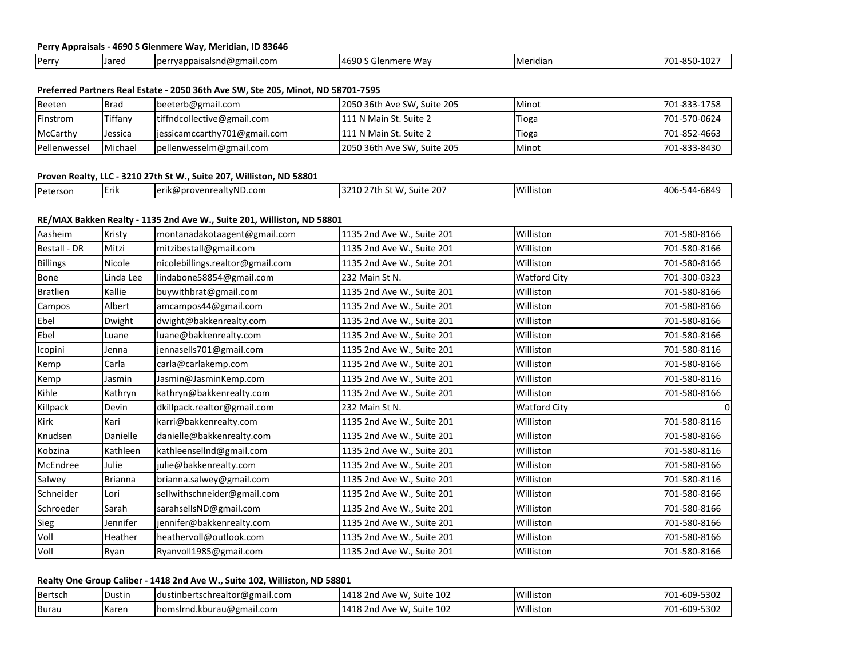## **Perry Appraisals - 4690 S Glenmere Way, Meridian, ID 83646**

| <b>I</b> Perry | <b>Uared</b> | mail.com!<br>vappais:<br>. .<br>Ther<br>.777<br><b>JILLIWA</b> | $\overline{AB}$<br>. Wav<br>alenmerrد | <b>IMeridian</b> | $\sim$<br>OE.<br>- 70°<br>1 U Z |
|----------------|--------------|----------------------------------------------------------------|---------------------------------------|------------------|---------------------------------|

## **Preferred Partners Real Estate - 2050 36th Ave SW, Ste 205, Minot, ND 58701-7595**

| Beeten       | <b>Brad</b> | beeterb@gmail.com              | 2050 36th Ave SW, Suite 205 | <b>Minot</b> | 701-833-1758 |
|--------------|-------------|--------------------------------|-----------------------------|--------------|--------------|
| Finstrom     | Tiffany     | tiffndcollective@gmail.com     | 1111 N Main St. Suite 2     | Tioga        | 701-570-0624 |
| McCarthy     | Jessica     | lies sicamccarthv701@gmail.com | 111 N Main St. Suite 2      | Tioga        | 701-852-4663 |
| Pellenwessel | Michael     | pellenwesselm@gmail.com        | 2050 36th Ave SW, Suite 205 | <b>Minot</b> | 701-833-8430 |

# **Proven Realty, LLC - 3210 27th St W., Suite 207, Williston, ND 58801**

|  | Peterson | .<br><b>I</b> Erik | ealtvND.com<br>$I \cap r$<br>k@provenrealty<br>ושו | : 207<br>$-$ 3210 27th $\sim$<br>∿t W<br>Suite<br>ЭL. | .<br>Willistor | -544-6849<br>$\Delta$<br>TU. |
|--|----------|--------------------|----------------------------------------------------|-------------------------------------------------------|----------------|------------------------------|
|--|----------|--------------------|----------------------------------------------------|-------------------------------------------------------|----------------|------------------------------|

# **RE/MAX Bakken Realty - 1135 2nd Ave W., Suite 201, Williston, ND 58801**

| Aasheim         | Kristy    | montanadakotaagent@gmail.com     | 1135 2nd Ave W., Suite 201 | Williston           | 701-580-8166 |
|-----------------|-----------|----------------------------------|----------------------------|---------------------|--------------|
| Bestall - DR    | Mitzi     | mitzibestall@gmail.com           | 1135 2nd Ave W., Suite 201 | Williston           | 701-580-8166 |
| <b>Billings</b> | Nicole    | nicolebillings.realtor@gmail.com | 1135 2nd Ave W., Suite 201 | Williston           | 701-580-8166 |
| Bone            | Linda Lee | lindabone58854@gmail.com         | 232 Main St N.             | <b>Watford City</b> | 701-300-0323 |
| <b>Bratlien</b> | Kallie    | buywithbrat@gmail.com            | 1135 2nd Ave W., Suite 201 | Williston           | 701-580-8166 |
| Campos          | Albert    | amcampos44@gmail.com             | 1135 2nd Ave W., Suite 201 | Williston           | 701-580-8166 |
| Ebel            | Dwight    | dwight@bakkenrealty.com          | 1135 2nd Ave W., Suite 201 | Williston           | 701-580-8166 |
| Ebel            | Luane     | luane@bakkenrealty.com           | 1135 2nd Ave W., Suite 201 | Williston           | 701-580-8166 |
| Icopini         | Jenna     | jennasells701@gmail.com          | 1135 2nd Ave W., Suite 201 | Williston           | 701-580-8116 |
| Kemp            | Carla     | carla@carlakemp.com              | 1135 2nd Ave W., Suite 201 | Williston           | 701-580-8166 |
| Kemp            | Jasmin    | Jasmin@JasminKemp.com            | 1135 2nd Ave W., Suite 201 | Williston           | 701-580-8116 |
| Kihle           | Kathryn   | kathryn@bakkenrealty.com         | 1135 2nd Ave W., Suite 201 | Williston           | 701-580-8166 |
| Killpack        | Devin     | dkillpack.realtor@gmail.com      | 232 Main St N.             | <b>Watford City</b> |              |
| Kirk            | Kari      | karri@bakkenrealty.com           | 1135 2nd Ave W., Suite 201 | Williston           | 701-580-8116 |
| Knudsen         | Danielle  | danielle@bakkenrealty.com        | 1135 2nd Ave W., Suite 201 | Williston           | 701-580-8166 |
| Kobzina         | Kathleen  | kathleensellnd@gmail.com         | 1135 2nd Ave W., Suite 201 | Williston           | 701-580-8116 |
| McEndree        | Julie     | julie@bakkenrealty.com           | 1135 2nd Ave W., Suite 201 | Williston           | 701-580-8166 |
| Salwey          | Brianna   | brianna.salwey@gmail.com         | 1135 2nd Ave W., Suite 201 | Williston           | 701-580-8116 |
| Schneider       | Lori      | sellwithschneider@gmail.com      | 1135 2nd Ave W., Suite 201 | Williston           | 701-580-8166 |
| Schroeder       | Sarah     | sarahsellsND@gmail.com           | 1135 2nd Ave W., Suite 201 | Williston           | 701-580-8166 |
| Sieg            | Jennifer  | jennifer@bakkenrealty.com        | 1135 2nd Ave W., Suite 201 | Williston           | 701-580-8166 |
| Voll            | Heather   | heathervoll@outlook.com          | 1135 2nd Ave W., Suite 201 | Williston           | 701-580-8166 |
| Voll            | Ryan      | Ryanvoll1985@gmail.com           | 1135 2nd Ave W., Suite 201 | Williston           | 701-580-8166 |
|                 |           |                                  |                            |                     |              |

# **Realty One Group Caliber - 1418 2nd Ave W., Suite 102, Williston, ND 58801**

| Bertsch | Dustin | $ldust in the tree function \omega gmail.com$ | Suite 102<br>1418 2nd Ave<br>∴W | 22 H L<br>Williston | 701-609-5302 |
|---------|--------|-----------------------------------------------|---------------------------------|---------------------|--------------|
| Burau   | Karen  | $I$ homslrnd.kburau@gmail.com                 | Suite 102<br>1418 2nd Ave W     | Williston           | 701-609-5302 |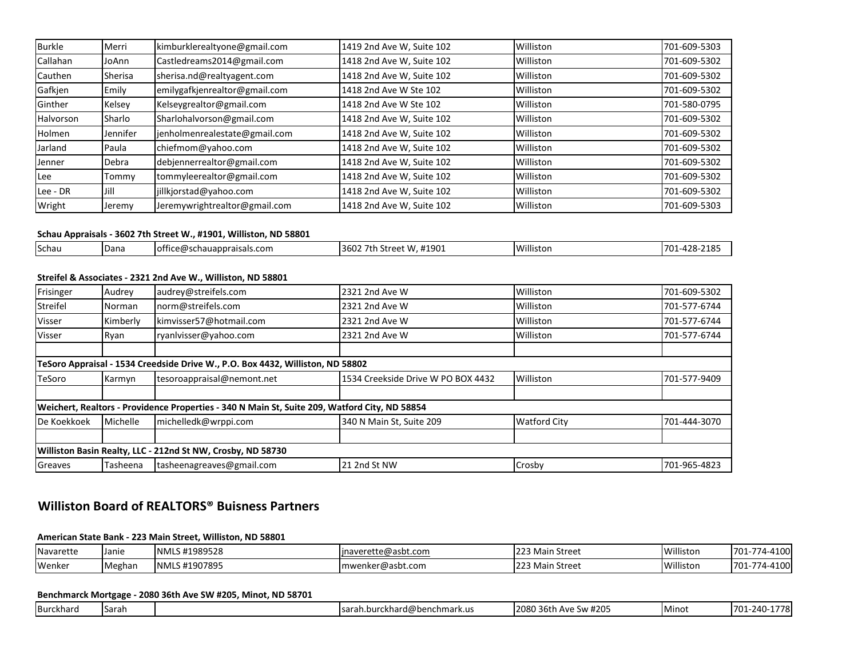| <b>Burkle</b> | Merri    | kimburklerealtyone@gmail.com  | 1419 2nd Ave W, Suite 102 | Williston | 701-609-5303 |
|---------------|----------|-------------------------------|---------------------------|-----------|--------------|
| Callahan      | JoAnn    | Castledreams2014@gmail.com    | 1418 2nd Ave W, Suite 102 | Williston | 701-609-5302 |
| Cauthen       | Sherisa  | sherisa.nd@realtyagent.com    | 1418 2nd Ave W, Suite 102 | Williston | 701-609-5302 |
| Gafkjen       | Emily    | emilygafkjenrealtor@gmail.com | 1418 2nd Ave W Ste 102    | Williston | 701-609-5302 |
| Ginther       | Kelsey   | Kelseygrealtor@gmail.com      | 1418 2nd Ave W Ste 102    | Williston | 701-580-0795 |
| Halvorson     | Sharlo   | Sharlohalvorson@gmail.com     | 1418 2nd Ave W, Suite 102 | Williston | 701-609-5302 |
| <b>Holmen</b> | Jennifer | jenholmenrealestate@gmail.com | 1418 2nd Ave W, Suite 102 | Williston | 701-609-5302 |
| Jarland       | Paula    | chiefmom@yahoo.com            | 1418 2nd Ave W, Suite 102 | Williston | 701-609-5302 |
| Jenner        | Debra    | debjennerrealtor@gmail.com    | 1418 2nd Ave W, Suite 102 | Williston | 701-609-5302 |
| Lee           | Tommy    | tommyleerealtor@gmail.com     | 1418 2nd Ave W, Suite 102 | Williston | 701-609-5302 |
| Lee - DR      | Jill     | jillkjorstad@yahoo.com        | 1418 2nd Ave W, Suite 102 | Williston | 701-609-5302 |
| Wright        | Jeremy   | Jeremywrightrealtor@gmail.com | 1418 2nd Ave W, Suite 102 | Williston | 701-609-5303 |

### **Schau Appraisals - 3602 7th Street W., #1901, Williston, ND 58801**

| Schau<br><b>Dana</b> | )schauappraisals.com<br>lottici<br>erws | ⊶0∩ 44<br>ົດ<br>3602<br>'stree:<br>ᅲㅗ◡◡ | $\mathbf{M}$<br>istor | <b>AAO</b><br>$\Lambda$<br>.70<br>. . |
|----------------------|-----------------------------------------|-----------------------------------------|-----------------------|---------------------------------------|

# **Streifel & Associates - 2321 2nd Ave W., Williston, ND 58801**

| Frisinger   | Audrey   | audrey@streifels.com                                                                          | 2321 2nd Ave W                     | Williston           | 701-609-5302 |
|-------------|----------|-----------------------------------------------------------------------------------------------|------------------------------------|---------------------|--------------|
| Streifel    | Norman   | norm@streifels.com                                                                            | 2321 2nd Ave W                     | Williston           | 701-577-6744 |
| Visser      | Kimberly | kimvisser57@hotmail.com                                                                       | 2321 2nd Ave W                     | Williston           | 701-577-6744 |
| Visser      | Ryan     | ryanlvisser@yahoo.com                                                                         | 2321 2nd Ave W                     | Williston           | 701-577-6744 |
|             |          |                                                                                               |                                    |                     |              |
|             |          | TeSoro Appraisal - 1534 Creedside Drive W., P.O. Box 4432, Williston, ND 58802                |                                    |                     |              |
| TeSoro      | Karmyn   | tesoroappraisal@nemont.net                                                                    | 1534 Creekside Drive W PO BOX 4432 | Williston           | 701-577-9409 |
|             |          |                                                                                               |                                    |                     |              |
|             |          | Weichert, Realtors - Providence Properties - 340 N Main St, Suite 209, Watford City, ND 58854 |                                    |                     |              |
| De Koekkoek | Michelle | michelledk@wrppi.com                                                                          | 340 N Main St. Suite 209           | <b>Watford City</b> | 701-444-3070 |
|             |          |                                                                                               |                                    |                     |              |
|             |          | Williston Basin Realty, LLC - 212nd St NW, Crosby, ND 58730                                   |                                    |                     |              |
| Greaves     | Tasheena | tasheenagreaves@gmail.com                                                                     | 21 2nd St NW                       | Crosby              | 701-965-4823 |

# **Williston Board of REALTORS® Buisness Partners**

# **American State Bank - 223 Main Street, Williston, ND 58801**

| Navarette | Janie  | S #1989528<br><b>INMLS</b> | averette@asbt.com<br>lina | າ Street<br>Main<br>. | Williston | $77A-$<br>110c<br>$701 -$<br>. אי די ה |
|-----------|--------|----------------------------|---------------------------|-----------------------|-----------|----------------------------------------|
| Wenke     | Meghan | S #1907895<br><b>INMLS</b> | Imwenker@asbt.com         | ı Street<br>1223 Main | Williston | $77A - \mu$<br>1100<br>701-7<br>74 LUU |

## **Benchmarck Mortgage - 2080 36th Ave SW #205, Minot, ND 58701**

| . .<br>. .<br><b>IBurckhard</b> | <b>Sarah</b> |  | $\sim$<br><b>Isara</b><br>nchmark.u.<br>- - - -<br>--<br>u.burc<br>u@perr<br>"" | $\sim$<br>2080<br>36th<br>$\sim$ SW $^+$<br>. Ave<br>π∠∪ | TMinc | . .<br>חולר<br>70<br>. /()* |
|---------------------------------|--------------|--|---------------------------------------------------------------------------------|----------------------------------------------------------|-------|-----------------------------|
|---------------------------------|--------------|--|---------------------------------------------------------------------------------|----------------------------------------------------------|-------|-----------------------------|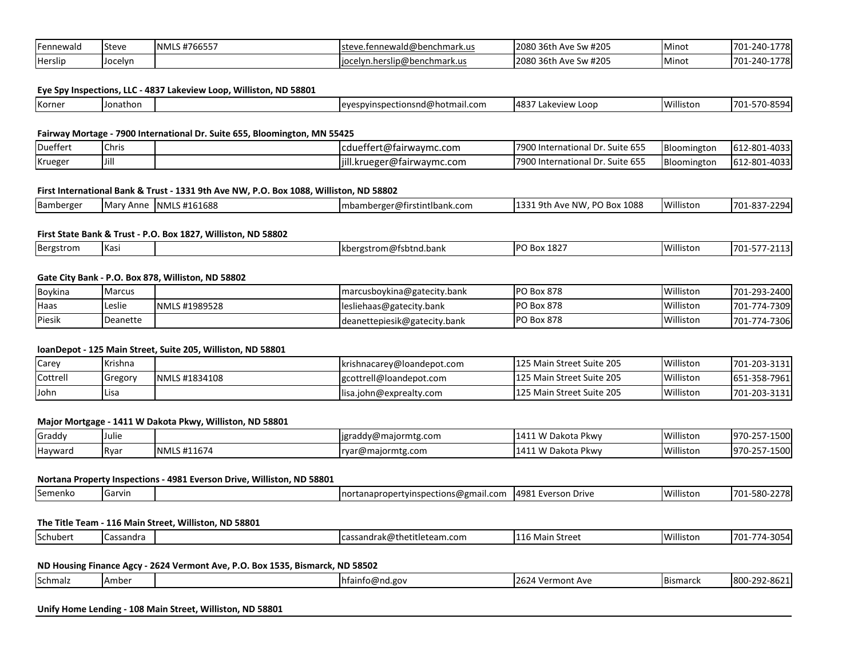| <b>Fennewald</b> | <b>Steve</b> | 1700007<br>NMLS#<br>#76655, | eve.fenne wald@benchmark.us_<br>'ste                       | Ave Sw #205<br><sup>ገባ80</sup> 36th Av. | Minot | 1778.<br>701-240     |
|------------------|--------------|-----------------------------|------------------------------------------------------------|-----------------------------------------|-------|----------------------|
| Herslip          | Jocelyn      |                             | <sup>ം</sup> @benchmark.us<br>elvn.herslip@ben<br>Tiocelvn | 2080 36th<br>Ave Sw #205                | Minot | 1778<br>701-240<br>. |

### **Eye Spy Inspections, LLC - 4837 Lakeview Loop, Williston, ND 58801**

| <b>Will</b><br>$148^\circ$<br>Korner<br>-701<br>istor<br>d.com،<br>י הו<br>nathon<br>nunc.<br>Loop<br>view<br>$\sim$<br>rinr<br>י הי<br>ishq <i>i</i> @notma<br>Lart<br>.<br>- 70. J<br>. |
|-------------------------------------------------------------------------------------------------------------------------------------------------------------------------------------------|
|-------------------------------------------------------------------------------------------------------------------------------------------------------------------------------------------|

#### **Fairway Mortage - 7900 International Dr. Suite 655, Bloomington, MN 55425**

| Dueffert | Chris | cduettert@tairwaymc.com    | $\sim$ $\sim$ $\sim$<br>7900<br>n.<br>lnternational '<br>l Dr. Suite 655 | Bloomington | 612-801-4033 |
|----------|-------|----------------------------|--------------------------------------------------------------------------|-------------|--------------|
| Krueger  | IJill | jill.krueger@fairwaymc.com | CT<br>7900<br>lnternational '<br>. Suite 655<br><b>، ا</b> ا             | Bloomingtor | 612-801-4033 |

### **First International Bank & Trust - 1331 9th Ave NW, P.O. Box 1088, Williston, ND 58802**

| - IMar<br>--<br>. . | Bamberger | ัv Anne | S #161688<br>INML' | mbamberger@firstintlbank.com | 1088<br>PO Box<br>-Q+I<br>Ave NM | Williston | $\sim$ $\sim$ $\sim$ $\sim$<br>. രാ−<br>701 |
|---------------------|-----------|---------|--------------------|------------------------------|----------------------------------|-----------|---------------------------------------------|
|---------------------|-----------|---------|--------------------|------------------------------|----------------------------------|-----------|---------------------------------------------|

### **First State Bank & Trust - P.O. Box 1827, Williston, ND 58802**

| uu<br>. | Bergs<br>--<br>Ωr<br>SLI UIT | $V_{\alpha}$<br>inas |  | itnd.bank<br>$$ nm (altohta d $$<br>lkh. | ז הו<br>Box 182 | Villisto<br>. .<br>ston | 70 <sup>4</sup><br>. |
|---------|------------------------------|----------------------|--|------------------------------------------|-----------------|-------------------------|----------------------|
|---------|------------------------------|----------------------|--|------------------------------------------|-----------------|-------------------------|----------------------|

## **Gate City Bank - P.O. Box 878, Williston, ND 58802**

| Boykina | Marcus   |               | marcusboykina@gatecity.bank  | <b>PO Box 878</b> | Willistor | 701-293-2400 |
|---------|----------|---------------|------------------------------|-------------------|-----------|--------------|
| Haas    | Leslie   | NMLS #1989528 | lesliehaas@gatecity.bank     | <b>PO Box 878</b> | Willistor | 701-774-7309 |
| Piesik  | Deanette |               | deanettepiesik@gatecity.bank | <b>PO Box 878</b> | Willistor | 701-774-7306 |

#### **loanDepot - 125 Main Street, Suite 205, Williston, ND 58801**

| Carey       | Krishna |               | krishnacarey@loandepot.com | 125 Main Street Suite 205 | Williston | 701-203-3131 |
|-------------|---------|---------------|----------------------------|---------------------------|-----------|--------------|
| Cottrell    | Gregory | NMLS #1834108 | gcottrell@loandepot.com    | 125 Main Street Suite 205 | Williston | 651-358-7961 |
| <b>John</b> | Lisa    |               | lisa.john@exprealty.com    | 125 Main Street Suite 205 | Williston | 701-203-3131 |

### **Major Mortgage - 1411 W Dakota Pkwy, Williston, ND 58801**

| Graddy  |             |                                                              | $ligraddy$ @majormtg.com | ` Pkwv<br>$\begin{array}{c} \n \text{A} \quad \text{A} \quad \text{A} \quad \text{A} \quad \text{A} \quad \text{A} \quad \text{A} \quad \text{A} \quad \text{B} \quad \text{B} \quad \text{C} \quad \text{A} \quad \text{A} \quad \text{A} \quad \text{A} \quad \text{A} \quad \text{A} \quad \text{A} \quad \text{A} \quad \text{A} \quad \text{A} \quad \text{A} \quad \text{A} \quad \text{A} \quad \text{A} \quad \text{A} \quad \text{A} \quad \text{A} \quad \text{A} \quad \text{A} \quad \$<br>Dakota | Williston | $-0.00$<br>1970<br>$\sim$ $-$<br>- - - - - - -<br><u>.</u> |
|---------|-------------|--------------------------------------------------------------|--------------------------|---------------------------------------------------------------------------------------------------------------------------------------------------------------------------------------------------------------------------------------------------------------------------------------------------------------------------------------------------------------------------------------------------------------------------------------------------------------------------------------------------------------|-----------|------------------------------------------------------------|
| Hayward | <b>IRva</b> | $\mu$ $\alpha$ $\sigma$<br><b>INMLS</b><br>1107 <sup>0</sup> | r@maiormtg.com<br>rvar.  | ı Pkwv<br>. <i>.</i> <del>.</del><br>Dakota                                                                                                                                                                                                                                                                                                                                                                                                                                                                   | Williston | $-0.0$<br>970<br>$\sim$ $-$<br>— ⊃∪ ∪                      |

### **Nortana Property Inspections - 4981 Everson Drive, Williston, ND 58801**

|  | <b>I</b> Semenko | <b>I</b> Garvin |  | ---<br>mr<br>ctions<br>email.c<br>ınor<br>usner:<br>mner | 4981<br>Everson<br>$'$ irive | .<br>. .<br>'illiston | ״חד.<br>,,,,<br>= or<br>01<br>. |
|--|------------------|-----------------|--|----------------------------------------------------------|------------------------------|-----------------------|---------------------------------|
|--|------------------|-----------------|--|----------------------------------------------------------|------------------------------|-----------------------|---------------------------------|

### **The Title Team - 116 Main Street, Williston, ND 58801**

|  | <b>Schuber</b><br>1.1221 | assandra |  | .<br>$-1 - 1 - 1 - 1 - 1 - 1$<br>team.com؛<br>lca<br>eutleter :<br>טיי דו<br>iui ant | Street<br>Mai | Williston | -701 |
|--|--------------------------|----------|--|--------------------------------------------------------------------------------------|---------------|-----------|------|
|--|--------------------------|----------|--|--------------------------------------------------------------------------------------|---------------|-----------|------|

## **ND Housing Finance Agcy - 2624 Vermont Ave, P.O. Box 1535, Bismarck, ND 58502**

| <b>VLIIII</b> | Schmalz | "IAmber |  | Thtair.<br>ainto@nd.gov | 2624<br>ont Ave<br>۷erm | <b>Bismarck</b> | $\sim$ $\sim$ $\sim$<br>ിറി<br>1800<br>™-86∠- |
|---------------|---------|---------|--|-------------------------|-------------------------|-----------------|-----------------------------------------------|
|---------------|---------|---------|--|-------------------------|-------------------------|-----------------|-----------------------------------------------|

## **Unify Home Lending - 108 Main Street, Williston, ND 58801**